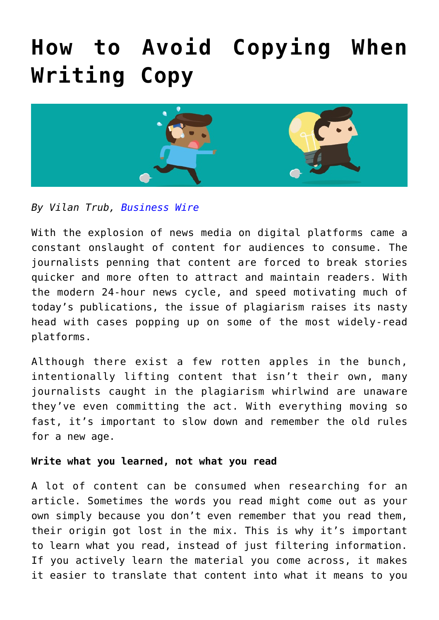# **[How to Avoid Copying When](https://www.commpro.biz/how-to-avoid-copying-when-writing-copy/) [Writing Copy](https://www.commpro.biz/how-to-avoid-copying-when-writing-copy/)**



## *By Vilan Trub, [Business Wire](https://www.businesswire.com/)*

With the explosion of news media on digital platforms came a constant onslaught of content for audiences to consume. The journalists penning that content are forced to break stories quicker and more often to attract and maintain readers. With the modern 24-hour news cycle, and speed motivating much of today's publications, the issue of plagiarism raises its nasty head with cases popping up on some of the most widely-read platforms.

Although there exist a few rotten apples in the bunch, intentionally lifting content that isn't their own, many journalists caught in the plagiarism whirlwind are unaware they've even committing the act. With everything moving so fast, it's important to slow down and remember the old rules for a new age.

#### **Write what you learned, not what you read**

A lot of content can be consumed when researching for an article. Sometimes the words you read might come out as your own simply because you don't even remember that you read them, their origin got lost in the mix. This is why it's important to learn what you read, instead of just filtering information. If you actively learn the material you come across, it makes it easier to translate that content into what it means to you